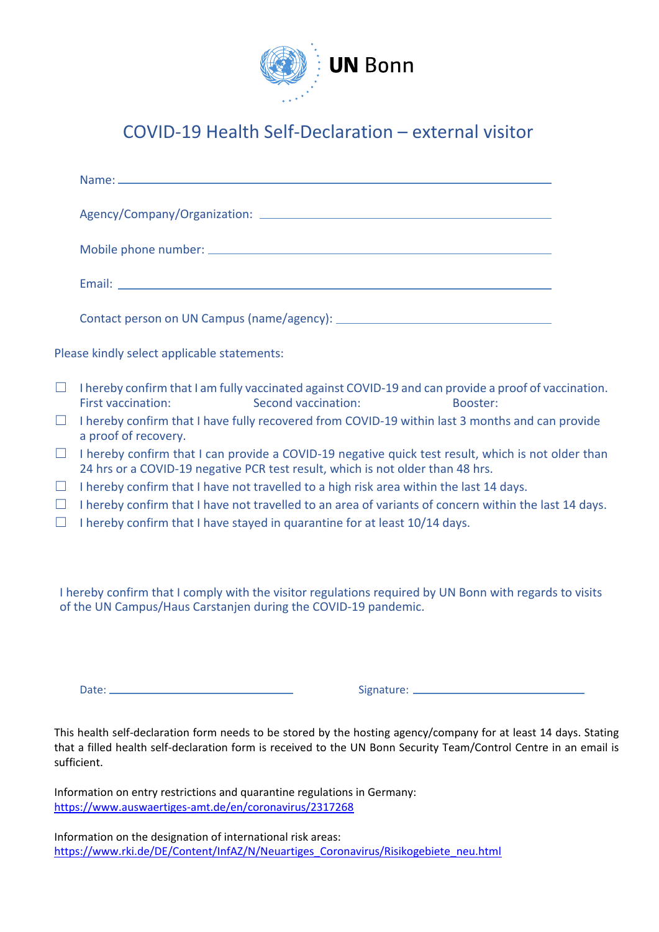

## COVID-19 Health Self-Declaration – external visitor

|        | Please kindly select applicable statements:                                                                                                                                          |  |
|--------|--------------------------------------------------------------------------------------------------------------------------------------------------------------------------------------|--|
| $\Box$ | I hereby confirm that I am fully vaccinated against COVID-19 and can provide a proof of vaccination.<br>Second vaccination:<br><b>First vaccination:</b><br>Booster:                 |  |
| $\Box$ | I hereby confirm that I have fully recovered from COVID-19 within last 3 months and can provide<br>a proof of recovery.                                                              |  |
| $\Box$ | I hereby confirm that I can provide a COVID-19 negative quick test result, which is not older than<br>24 hrs or a COVID-19 negative PCR test result, which is not older than 48 hrs. |  |
| $\Box$ | I hereby confirm that I have not travelled to a high risk area within the last 14 days.                                                                                              |  |
| $\Box$ | I hereby confirm that I have not travelled to an area of variants of concern within the last 14 days.                                                                                |  |
| $\Box$ | I hereby confirm that I have stayed in quarantine for at least 10/14 days.                                                                                                           |  |
|        |                                                                                                                                                                                      |  |

I hereby confirm that I comply with the visitor regulations required by UN Bonn with regards to visits of the UN Campus/Haus Carstanjen during the COVID-19 pandemic.

Date: Signature:

This health self-declaration form needs to be stored by the hosting agency/company for at least 14 days. Stating that a filled health self-declaration form is received to the UN Bonn Security Team/Control Centre in an email is sufficient.

Information on entry restrictions and quarantine regulations in Germany: <https://www.auswaertiges-amt.de/en/coronavirus/2317268>

Information on the designation of international risk areas: [https://www.rki.de/DE/Content/InfAZ/N/Neuartiges\\_Coronavirus/Risikogebiete\\_neu.html](https://www.rki.de/DE/Content/InfAZ/N/Neuartiges_Coronavirus/Risikogebiete_neu.html)